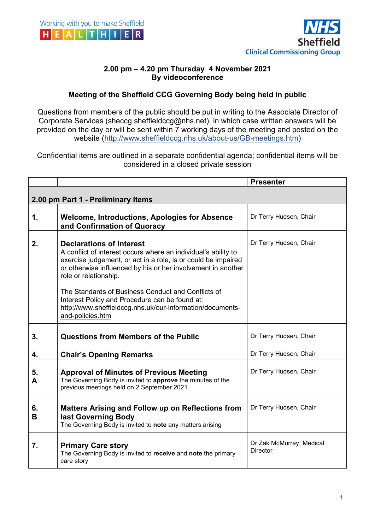



## **2.00 pm – 4.20 pm Thursday 4 November 2021 By videoconference**

## **Meeting of the Sheffield CCG Governing Body being held in public**

Questions from members of the public should be put in writing to the Associate Director of Corporate Services (sheccg.sheffieldccg@nhs.net), in which case written answers will be provided on the day or will be sent within 7 working days of the meeting and posted on the website (http://www.sheffieldccg.nhs.uk/about-us/GB-meetings.htm)

Confidential items are outlined in a separate confidential agenda; confidential items will be considered in a closed private session

|                                    |                                                                                                                                                                                                                                                             | <b>Presenter</b>                            |  |
|------------------------------------|-------------------------------------------------------------------------------------------------------------------------------------------------------------------------------------------------------------------------------------------------------------|---------------------------------------------|--|
| 2.00 pm Part 1 - Preliminary Items |                                                                                                                                                                                                                                                             |                                             |  |
| 1.                                 | <b>Welcome, Introductions, Apologies for Absence</b><br>and Confirmation of Quoracy                                                                                                                                                                         | Dr Terry Hudsen, Chair                      |  |
| 2.                                 | <b>Declarations of Interest</b><br>A conflict of interest occurs where an individual's ability to<br>exercise judgement, or act in a role, is or could be impaired<br>or otherwise influenced by his or her involvement in another<br>role or relationship. | Dr Terry Hudsen, Chair                      |  |
|                                    | The Standards of Business Conduct and Conflicts of<br>Interest Policy and Procedure can be found at:<br>http://www.sheffieldccg.nhs.uk/our-information/documents-<br>and-policies.htm                                                                       |                                             |  |
| 3.                                 | <b>Questions from Members of the Public</b>                                                                                                                                                                                                                 | Dr Terry Hudsen, Chair                      |  |
| 4.                                 | <b>Chair's Opening Remarks</b>                                                                                                                                                                                                                              | Dr Terry Hudsen, Chair                      |  |
| 5.<br>A                            | <b>Approval of Minutes of Previous Meeting</b><br>The Governing Body is invited to approve the minutes of the<br>previous meetings held on 2 September 2021                                                                                                 | Dr Terry Hudsen, Chair                      |  |
| 6.<br>В                            | <b>Matters Arising and Follow up on Reflections from</b><br>last Governing Body<br>The Governing Body is invited to note any matters arising                                                                                                                | Dr Terry Hudsen, Chair                      |  |
| 7.                                 | <b>Primary Care story</b><br>The Governing Body is invited to receive and note the primary<br>care story                                                                                                                                                    | Dr Zak McMurray, Medical<br><b>Director</b> |  |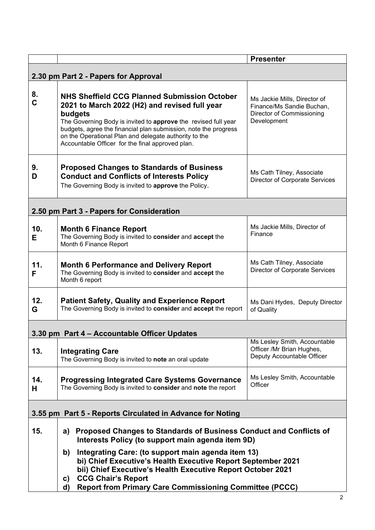|                                                           |                                                                                                                                                                                                                                                                                                                                                            | <b>Presenter</b>                                                                                      |  |
|-----------------------------------------------------------|------------------------------------------------------------------------------------------------------------------------------------------------------------------------------------------------------------------------------------------------------------------------------------------------------------------------------------------------------------|-------------------------------------------------------------------------------------------------------|--|
| 2.30 pm Part 2 - Papers for Approval                      |                                                                                                                                                                                                                                                                                                                                                            |                                                                                                       |  |
| 8.<br>$\mathbf{C}$                                        | NHS Sheffield CCG Planned Submission October<br>2021 to March 2022 (H2) and revised full year<br>budgets<br>The Governing Body is invited to approve the revised full year<br>budgets, agree the financial plan submission, note the progress<br>on the Operational Plan and delegate authority to the<br>Accountable Officer for the final approved plan. | Ms Jackie Mills, Director of<br>Finance/Ms Sandie Buchan,<br>Director of Commissioning<br>Development |  |
| 9.<br>D                                                   | <b>Proposed Changes to Standards of Business</b><br><b>Conduct and Conflicts of Interests Policy</b><br>The Governing Body is invited to approve the Policy.                                                                                                                                                                                               | Ms Cath Tilney, Associate<br>Director of Corporate Services                                           |  |
| 2.50 pm Part 3 - Papers for Consideration                 |                                                                                                                                                                                                                                                                                                                                                            |                                                                                                       |  |
| 10.<br>E.                                                 | <b>Month 6 Finance Report</b><br>The Governing Body is invited to consider and accept the<br>Month 6 Finance Report                                                                                                                                                                                                                                        | Ms Jackie Mills, Director of<br>Finance                                                               |  |
| 11.<br>F                                                  | <b>Month 6 Performance and Delivery Report</b><br>The Governing Body is invited to consider and accept the<br>Month 6 report                                                                                                                                                                                                                               | Ms Cath Tilney, Associate<br>Director of Corporate Services                                           |  |
| 12.<br>G                                                  | <b>Patient Safety, Quality and Experience Report</b><br>The Governing Body is invited to consider and accept the report                                                                                                                                                                                                                                    | Ms Dani Hydes, Deputy Director<br>of Quality                                                          |  |
| 3.30 pm Part 4 – Accountable Officer Updates              |                                                                                                                                                                                                                                                                                                                                                            |                                                                                                       |  |
| 13.                                                       | <b>Integrating Care</b><br>The Governing Body is invited to note an oral update                                                                                                                                                                                                                                                                            | Ms Lesley Smith, Accountable<br>Officer /Mr Brian Hughes,<br>Deputy Accountable Officer               |  |
| 14.<br>Н                                                  | <b>Progressing Integrated Care Systems Governance</b><br>The Governing Body is invited to consider and note the report                                                                                                                                                                                                                                     | Ms Lesley Smith, Accountable<br>Officer                                                               |  |
| 3.55 pm Part 5 - Reports Circulated in Advance for Noting |                                                                                                                                                                                                                                                                                                                                                            |                                                                                                       |  |
| 15.                                                       | a) Proposed Changes to Standards of Business Conduct and Conflicts of<br>Interests Policy (to support main agenda item 9D)                                                                                                                                                                                                                                 |                                                                                                       |  |
|                                                           | Integrating Care: (to support main agenda item 13)<br>b)<br>bi) Chief Executive's Health Executive Report September 2021<br>bii) Chief Executive's Health Executive Report October 2021<br><b>CCG Chair's Report</b><br>C)<br><b>Report from Primary Care Commissioning Committee (PCCC)</b><br>d)                                                         |                                                                                                       |  |